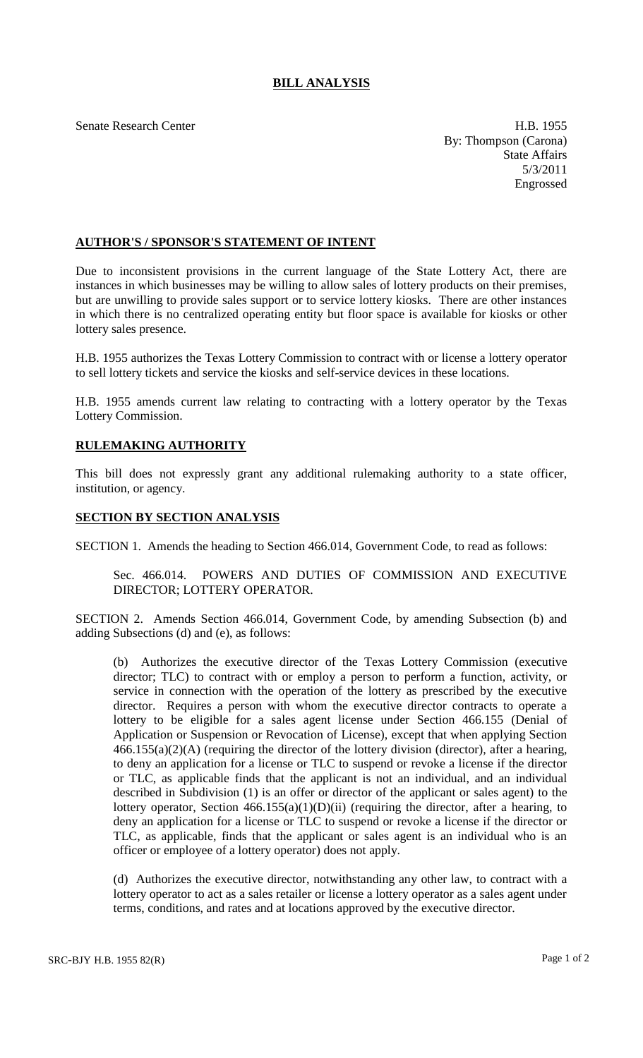## **BILL ANALYSIS**

Senate Research Center **H.B. 1955** By: Thompson (Carona) State Affairs 5/3/2011 Engrossed

## **AUTHOR'S / SPONSOR'S STATEMENT OF INTENT**

Due to inconsistent provisions in the current language of the State Lottery Act, there are instances in which businesses may be willing to allow sales of lottery products on their premises, but are unwilling to provide sales support or to service lottery kiosks. There are other instances in which there is no centralized operating entity but floor space is available for kiosks or other lottery sales presence.

H.B. 1955 authorizes the Texas Lottery Commission to contract with or license a lottery operator to sell lottery tickets and service the kiosks and self-service devices in these locations.

H.B. 1955 amends current law relating to contracting with a lottery operator by the Texas Lottery Commission.

## **RULEMAKING AUTHORITY**

This bill does not expressly grant any additional rulemaking authority to a state officer, institution, or agency.

## **SECTION BY SECTION ANALYSIS**

SECTION 1. Amends the heading to Section 466.014, Government Code, to read as follows:

Sec. 466.014. POWERS AND DUTIES OF COMMISSION AND EXECUTIVE DIRECTOR; LOTTERY OPERATOR.

SECTION 2. Amends Section 466.014, Government Code, by amending Subsection (b) and adding Subsections (d) and (e), as follows:

(b) Authorizes the executive director of the Texas Lottery Commission (executive director; TLC) to contract with or employ a person to perform a function, activity, or service in connection with the operation of the lottery as prescribed by the executive director. Requires a person with whom the executive director contracts to operate a lottery to be eligible for a sales agent license under Section 466.155 (Denial of Application or Suspension or Revocation of License), except that when applying Section  $466.155(a)(2)(A)$  (requiring the director of the lottery division (director), after a hearing, to deny an application for a license or TLC to suspend or revoke a license if the director or TLC, as applicable finds that the applicant is not an individual, and an individual described in Subdivision (1) is an offer or director of the applicant or sales agent) to the lottery operator, Section  $466.155(a)(1)(D)(ii)$  (requiring the director, after a hearing, to deny an application for a license or TLC to suspend or revoke a license if the director or TLC, as applicable, finds that the applicant or sales agent is an individual who is an officer or employee of a lottery operator) does not apply.

(d) Authorizes the executive director, notwithstanding any other law, to contract with a lottery operator to act as a sales retailer or license a lottery operator as a sales agent under terms, conditions, and rates and at locations approved by the executive director.